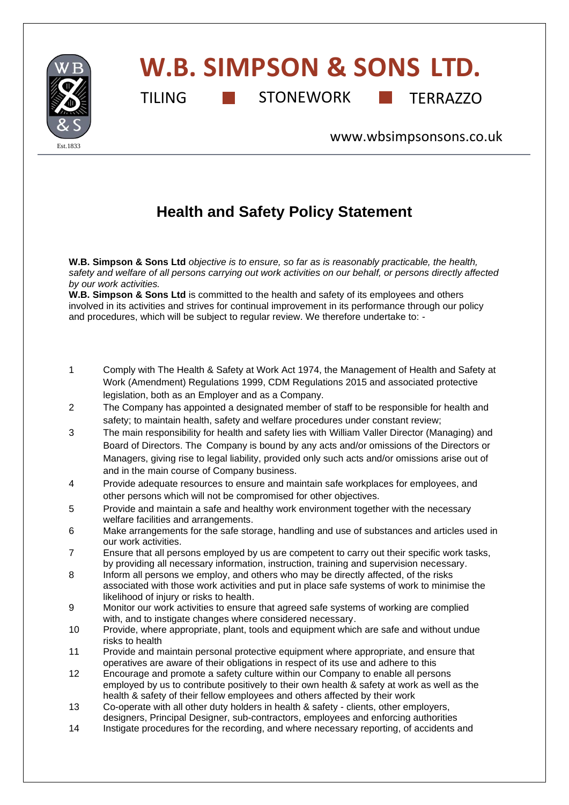

## **W.B. SIMPSON & SONS LTD.**

TILING **STONEWORK TERRAZZO** 

[www.wbsimpsonsons.co.uk](http://www.wbsimpsonsons.co.uk/)

## **Health and Safety Policy Statement**

**W.B. Simpson & Sons Ltd** *objective is to ensure, so far as is reasonably practicable, the health, safety and welfare of all persons carrying out work activities on our behalf, or persons directly affected by our work activities.*

**W.B. Simpson & Sons Ltd** is committed to the health and safety of its employees and others involved in its activities and strives for continual improvement in its performance through our policy and procedures, which will be subject to regular review. We therefore undertake to: -

- 1 Comply with The Health & Safety at Work Act 1974, the Management of Health and Safety at Work (Amendment) Regulations 1999, CDM Regulations 2015 and associated protective legislation, both as an Employer and as a Company.
- 2 The Company has appointed a designated member of staff to be responsible for health and safety; to maintain health, safety and welfare procedures under constant review;
- 3 The main responsibility for health and safety lies with William Valler Director (Managing) and Board of Directors. The Company is bound by any acts and/or omissions of the Directors or Managers, giving rise to legal liability, provided only such acts and/or omissions arise out of and in the main course of Company business.
- 4 Provide adequate resources to ensure and maintain safe workplaces for employees, and other persons which will not be compromised for other objectives.
- 5 Provide and maintain a safe and healthy work environment together with the necessary welfare facilities and arrangements.
- 6 Make arrangements for the safe storage, handling and use of substances and articles used in our work activities.
- 7 Ensure that all persons employed by us are competent to carry out their specific work tasks, by providing all necessary information, instruction, training and supervision necessary.
- 8 Inform all persons we employ, and others who may be directly affected, of the risks associated with those work activities and put in place safe systems of work to minimise the likelihood of injury or risks to health.
- 9 Monitor our work activities to ensure that agreed safe systems of working are complied with, and to instigate changes where considered necessary.
- 10 Provide, where appropriate, plant, tools and equipment which are safe and without undue risks to health
- 11 Provide and maintain personal protective equipment where appropriate, and ensure that operatives are aware of their obligations in respect of its use and adhere to this
- 12 Encourage and promote a safety culture within our Company to enable all persons employed by us to contribute positively to their own health & safety at work as well as the health & safety of their fellow employees and others affected by their work
- 13 Co-operate with all other duty holders in health & safety clients, other employers, designers, Principal Designer, sub-contractors, employees and enforcing authorities<br>14 Instigate procedures for the recording and where necessary reporting of accidents
- Instigate procedures for the recording, and where necessary reporting, of accidents and